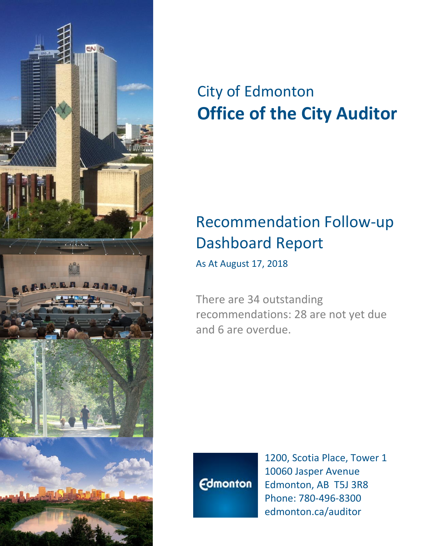

# City of Edmonton **Office of the City Auditor**

## Recommendation Follow-up Dashboard Report

As At August 17, 2018

There are 34 outstanding recommendations: 28 are not yet due and 6 are overdue.



1200, Scotia Place, Tower 1 10060 Jasper Avenue Edmonton, AB T5J 3R8 Phone: 780-496-8300 edmonton.ca/auditor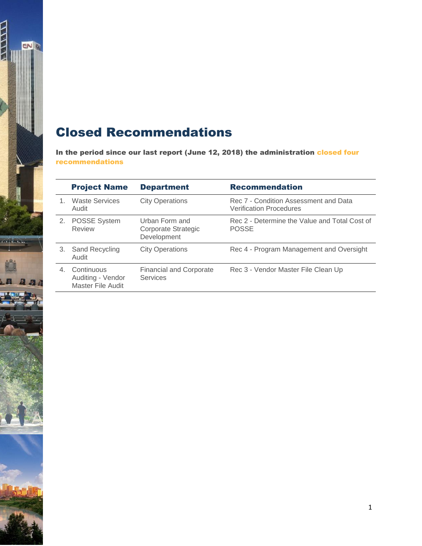#### Closed Recommendations

 $\frac{1}{2}$ 

**CONTRACT** 

 $\mathbf{a}$  and

In the period since our last report (June 12, 2018) the administration closed four recommendations

|    | <b>Project Name</b>                                  | <b>Department</b>                                    | <b>Recommendation</b>                                                   |
|----|------------------------------------------------------|------------------------------------------------------|-------------------------------------------------------------------------|
|    | <b>Waste Services</b><br>Audit                       | <b>City Operations</b>                               | Rec 7 - Condition Assessment and Data<br><b>Verification Procedures</b> |
| 2. | <b>POSSE System</b><br><b>Review</b>                 | Urban Form and<br>Corporate Strategic<br>Development | Rec 2 - Determine the Value and Total Cost of<br><b>POSSE</b>           |
| 3. | <b>Sand Recycling</b><br>Audit                       | <b>City Operations</b>                               | Rec 4 - Program Management and Oversight                                |
| 4  | Continuous<br>Auditing - Vendor<br>Master File Audit | <b>Financial and Corporate</b><br><b>Services</b>    | Rec 3 - Vendor Master File Clean Up                                     |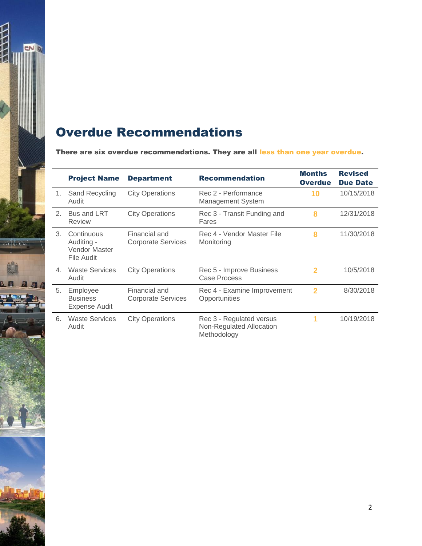

#### Overdue Recommendations

There are six overdue recommendations. They are all less than one year overdue.

|    | <b>Project Name</b>                                     | <b>Department</b>                          | <b>Recommendation</b>                                               | <b>Months</b><br><b>Overdue</b> | <b>Revised</b><br><b>Due Date</b> |
|----|---------------------------------------------------------|--------------------------------------------|---------------------------------------------------------------------|---------------------------------|-----------------------------------|
| 1. | Sand Recycling<br>Audit                                 | <b>City Operations</b>                     | Rec 2 - Performance<br><b>Management System</b>                     | 10                              | 10/15/2018                        |
| 2. | Bus and LRT<br>Review                                   | <b>City Operations</b>                     | Rec 3 - Transit Funding and<br>Fares                                | 8                               | 12/31/2018                        |
| 3. | Continuous<br>Auditing -<br>Vendor Master<br>File Audit | Financial and<br><b>Corporate Services</b> | Rec 4 - Vendor Master File<br>Monitoring                            | 8                               | 11/30/2018                        |
| 4. | <b>Waste Services</b><br>Audit                          | <b>City Operations</b>                     | Rec 5 - Improve Business<br>Case Process                            | $\mathbf{2}$                    | 10/5/2018                         |
| 5. | Employee<br><b>Business</b><br>Expense Audit            | Financial and<br><b>Corporate Services</b> | Rec 4 - Examine Improvement<br>Opportunities                        | 2                               | 8/30/2018                         |
| 6. | <b>Waste Services</b><br>Audit                          | <b>City Operations</b>                     | Rec 3 - Regulated versus<br>Non-Regulated Allocation<br>Methodology | 1                               | 10/19/2018                        |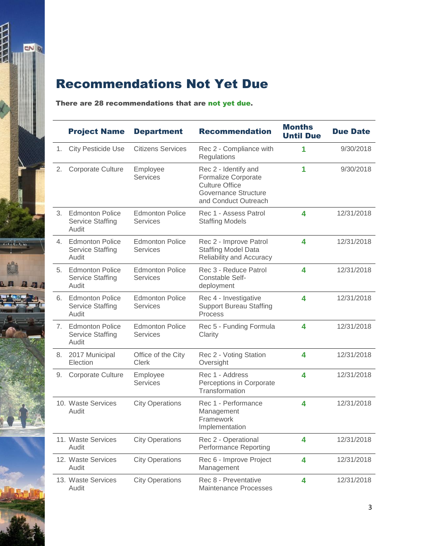

### Recommendations Not Yet Due

#### There are 28 recommendations that are not yet due.

|    | <b>Project Name</b>                                        | <b>Department</b>                         | <b>Recommendation</b>                                                                                                       | <b>Months</b><br><b>Until Due</b> | <b>Due Date</b> |
|----|------------------------------------------------------------|-------------------------------------------|-----------------------------------------------------------------------------------------------------------------------------|-----------------------------------|-----------------|
| 1. | <b>City Pesticide Use</b>                                  | <b>Citizens Services</b>                  | Rec 2 - Compliance with<br>Regulations                                                                                      | 1                                 | 9/30/2018       |
| 2. | <b>Corporate Culture</b>                                   | Employee<br><b>Services</b>               | Rec 2 - Identify and<br><b>Formalize Corporate</b><br><b>Culture Office</b><br>Governance Structure<br>and Conduct Outreach | 1                                 | 9/30/2018       |
| 3. | <b>Edmonton Police</b><br><b>Service Staffing</b><br>Audit | <b>Edmonton Police</b><br><b>Services</b> | Rec 1 - Assess Patrol<br><b>Staffing Models</b>                                                                             | 4                                 | 12/31/2018      |
|    | 4. Edmonton Police<br><b>Service Staffing</b><br>Audit     | <b>Edmonton Police</b><br><b>Services</b> | Rec 2 - Improve Patrol<br><b>Staffing Model Data</b><br>Reliability and Accuracy                                            | 4                                 | 12/31/2018      |
| 5. | <b>Edmonton Police</b><br><b>Service Staffing</b><br>Audit | <b>Edmonton Police</b><br><b>Services</b> | Rec 3 - Reduce Patrol<br><b>Constable Self-</b><br>deployment                                                               | 4                                 | 12/31/2018      |
| 6. | <b>Edmonton Police</b><br><b>Service Staffing</b><br>Audit | <b>Edmonton Police</b><br><b>Services</b> | Rec 4 - Investigative<br><b>Support Bureau Staffing</b><br>Process                                                          | 4                                 | 12/31/2018      |
|    | 7. Edmonton Police<br><b>Service Staffing</b><br>Audit     | <b>Edmonton Police</b><br><b>Services</b> | Rec 5 - Funding Formula<br>Clarity                                                                                          | 4                                 | 12/31/2018      |
| 8. | 2017 Municipal<br>Election                                 | Office of the City<br><b>Clerk</b>        | Rec 2 - Voting Station<br>Oversight                                                                                         | 4                                 | 12/31/2018      |
| 9. | <b>Corporate Culture</b>                                   | Employee<br><b>Services</b>               | Rec 1 - Address<br>Perceptions in Corporate<br>Transformation                                                               | 4                                 | 12/31/2018      |
|    | 10. Waste Services<br>Audit                                | <b>City Operations</b>                    | Rec 1 - Performance<br>Management<br>Framework<br>Implementation                                                            | $\overline{\mathbf{4}}$           | 12/31/2018      |
|    | 11. Waste Services<br>Audit                                | <b>City Operations</b>                    | Rec 2 - Operational<br><b>Performance Reporting</b>                                                                         | 4                                 | 12/31/2018      |
|    | 12. Waste Services<br>Audit                                | <b>City Operations</b>                    | Rec 6 - Improve Project<br>Management                                                                                       | 4                                 | 12/31/2018      |
|    | 13. Waste Services<br>Audit                                | <b>City Operations</b>                    | Rec 8 - Preventative<br><b>Maintenance Processes</b>                                                                        | 4                                 | 12/31/2018      |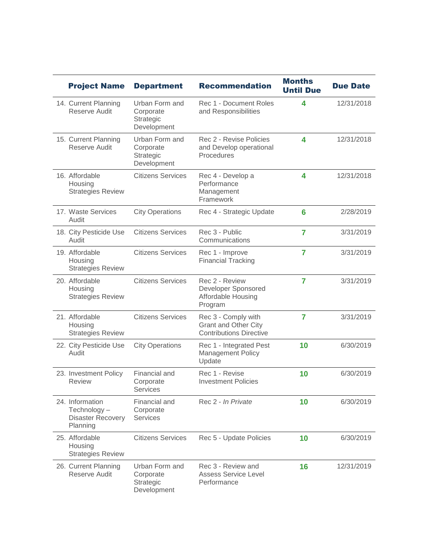| <b>Project Name</b>                                                    | <b>Department</b>                                       | <b>Recommendation</b>                                                                | <b>Months</b><br><b>Until Due</b> | <b>Due Date</b> |
|------------------------------------------------------------------------|---------------------------------------------------------|--------------------------------------------------------------------------------------|-----------------------------------|-----------------|
| 14. Current Planning<br>Reserve Audit                                  | Urban Form and<br>Corporate<br>Strategic<br>Development | Rec 1 - Document Roles<br>and Responsibilities                                       | 4                                 | 12/31/2018      |
| 15. Current Planning<br>Reserve Audit                                  | Urban Form and<br>Corporate<br>Strategic<br>Development | Rec 2 - Revise Policies<br>and Develop operational<br>Procedures                     | 4                                 | 12/31/2018      |
| 16. Affordable<br>Housing<br><b>Strategies Review</b>                  | <b>Citizens Services</b>                                | Rec 4 - Develop a<br>Performance<br>Management<br>Framework                          | 4                                 | 12/31/2018      |
| 17. Waste Services<br>Audit                                            | <b>City Operations</b>                                  | Rec 4 - Strategic Update                                                             | 6                                 | 2/28/2019       |
| 18. City Pesticide Use<br>Audit                                        | <b>Citizens Services</b>                                | Rec 3 - Public<br>Communications                                                     | $\overline{7}$                    | 3/31/2019       |
| 19. Affordable<br>Housing<br><b>Strategies Review</b>                  | <b>Citizens Services</b>                                | Rec 1 - Improve<br><b>Financial Tracking</b>                                         | $\overline{7}$                    | 3/31/2019       |
| 20. Affordable<br>Housing<br><b>Strategies Review</b>                  | <b>Citizens Services</b>                                | Rec 2 - Review<br>Developer Sponsored<br>Affordable Housing<br>Program               | $\overline{7}$                    | 3/31/2019       |
| 21. Affordable<br>Housing<br><b>Strategies Review</b>                  | <b>Citizens Services</b>                                | Rec 3 - Comply with<br><b>Grant and Other City</b><br><b>Contributions Directive</b> | $\overline{7}$                    | 3/31/2019       |
| 22. City Pesticide Use<br>Audit                                        | <b>City Operations</b>                                  | Rec 1 - Integrated Pest<br><b>Management Policy</b><br>Update                        | 10                                | 6/30/2019       |
| 23. Investment Policy<br><b>Review</b>                                 | Financial and<br>Corporate<br><b>Services</b>           | Rec 1 - Revise<br><b>Investment Policies</b>                                         | 10                                | 6/30/2019       |
| 24. Information<br>Technology-<br><b>Disaster Recovery</b><br>Planning | Financial and<br>Corporate<br><b>Services</b>           | Rec 2 - In Private                                                                   | 10                                | 6/30/2019       |
| 25. Affordable<br>Housing<br><b>Strategies Review</b>                  | <b>Citizens Services</b>                                | Rec 5 - Update Policies                                                              | 10                                | 6/30/2019       |
| 26. Current Planning<br><b>Reserve Audit</b>                           | Urban Form and<br>Corporate<br>Strategic<br>Development | Rec 3 - Review and<br><b>Assess Service Level</b><br>Performance                     | 16                                | 12/31/2019      |